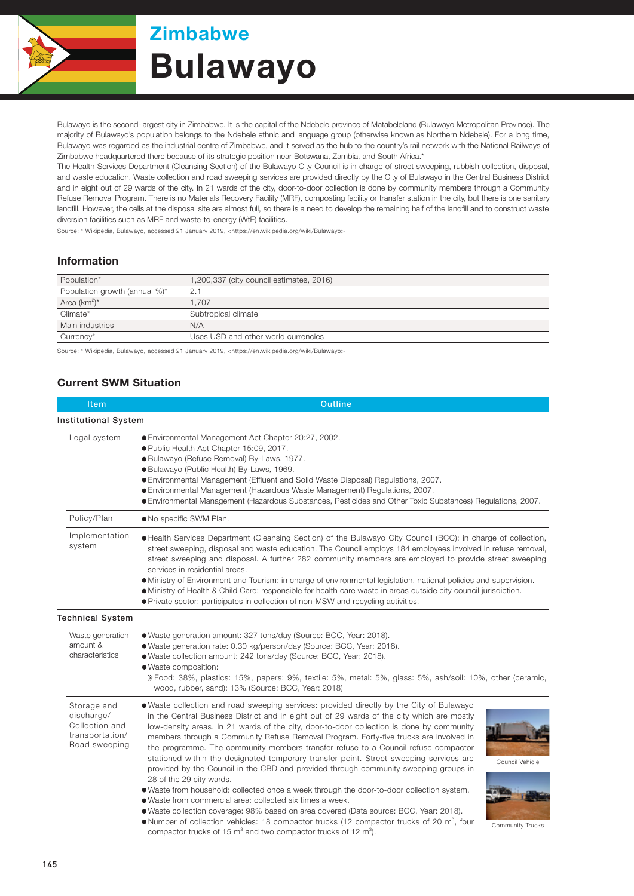

# **Zimbabwe** Bulawayo

Bulawayo is the second-largest city in Zimbabwe. It is the capital of the Ndebele province of Matabeleland (Bulawayo Metropolitan Province). The majority of Bulawayo's population belongs to the Ndebele ethnic and language group (otherwise known as Northern Ndebele). For a long time, Bulawayo was regarded as the industrial centre of Zimbabwe, and it served as the hub to the country's rail network with the National Railways of Zimbabwe headquartered there because of its strategic position near Botswana, Zambia, and South Africa.\*

The Health Services Department (Cleansing Section) of the Bulawayo City Council is in charge of street sweeping, rubbish collection, disposal, and waste education. Waste collection and road sweeping services are provided directly by the City of Bulawayo in the Central Business District and in eight out of 29 wards of the city. In 21 wards of the city, door-to-door collection is done by community members through a Community Refuse Removal Program. There is no Materials Recovery Facility (MRF), composting facility or transfer station in the city, but there is one sanitary landfill. However, the cells at the disposal site are almost full, so there is a need to develop the remaining half of the landfill and to construct waste diversion facilities such as MRF and waste-to-energy (WtE) facilities.

Source: \* Wikipedia, Bulawayo, accessed 21 January 2019, <https://en.wikipedia.org/wiki/Bulawayo>

### Information

| Population*                   | 1,200,337 (city council estimates, 2016) |  |
|-------------------------------|------------------------------------------|--|
| Population growth (annual %)* | 2.7                                      |  |
| Area $(km^2)^*$               | 1.707                                    |  |
| Climate*                      | Subtropical climate                      |  |
| Main industries               | N/A                                      |  |
| Currency*                     | Uses USD and other world currencies      |  |

Source: \* Wikipedia, Bulawayo, accessed 21 January 2019, <https://en.wikipedia.org/wiki/Bulawayo>

## Current SWM Situation

| Item                                                                            | <b>Outline</b>                                                                                                                                                                                                                                                                                                                                                                                                                                                                                                                                                                                                                                                                                                                                                                                                                                                                                                                                                                                                                                                                                                                |                                     |  |  |  |
|---------------------------------------------------------------------------------|-------------------------------------------------------------------------------------------------------------------------------------------------------------------------------------------------------------------------------------------------------------------------------------------------------------------------------------------------------------------------------------------------------------------------------------------------------------------------------------------------------------------------------------------------------------------------------------------------------------------------------------------------------------------------------------------------------------------------------------------------------------------------------------------------------------------------------------------------------------------------------------------------------------------------------------------------------------------------------------------------------------------------------------------------------------------------------------------------------------------------------|-------------------------------------|--|--|--|
| <b>Institutional System</b>                                                     |                                                                                                                                                                                                                                                                                                                                                                                                                                                                                                                                                                                                                                                                                                                                                                                                                                                                                                                                                                                                                                                                                                                               |                                     |  |  |  |
| Legal system                                                                    | ● Environmental Management Act Chapter 20:27, 2002.<br>● Public Health Act Chapter 15:09, 2017.<br>· Bulawayo (Refuse Removal) By-Laws, 1977.<br>· Bulawayo (Public Health) By-Laws, 1969.<br>● Environmental Management (Effluent and Solid Waste Disposal) Regulations, 2007.<br>● Environmental Management (Hazardous Waste Management) Regulations, 2007.<br>· Environmental Management (Hazardous Substances, Pesticides and Other Toxic Substances) Regulations, 2007.                                                                                                                                                                                                                                                                                                                                                                                                                                                                                                                                                                                                                                                  |                                     |  |  |  |
| Policy/Plan                                                                     | . No specific SWM Plan.                                                                                                                                                                                                                                                                                                                                                                                                                                                                                                                                                                                                                                                                                                                                                                                                                                                                                                                                                                                                                                                                                                       |                                     |  |  |  |
| Implementation<br>system                                                        | • Health Services Department (Cleansing Section) of the Bulawayo City Council (BCC): in charge of collection,<br>street sweeping, disposal and waste education. The Council employs 184 employees involved in refuse removal,<br>street sweeping and disposal. A further 282 community members are employed to provide street sweeping<br>services in residential areas.<br>• Ministry of Environment and Tourism: in charge of environmental legislation, national policies and supervision.<br>• Ministry of Health & Child Care: responsible for health care waste in areas outside city council jurisdiction.<br>• Private sector: participates in collection of non-MSW and recycling activities.                                                                                                                                                                                                                                                                                                                                                                                                                        |                                     |  |  |  |
| <b>Technical System</b>                                                         |                                                                                                                                                                                                                                                                                                                                                                                                                                                                                                                                                                                                                                                                                                                                                                                                                                                                                                                                                                                                                                                                                                                               |                                     |  |  |  |
| Waste generation<br>amount &<br>characteristics                                 | . Waste generation amount: 327 tons/day (Source: BCC, Year: 2018).<br>· Waste generation rate: 0.30 kg/person/day (Source: BCC, Year: 2018).<br>. Waste collection amount: 242 tons/day (Source: BCC, Year: 2018).<br>· Waste composition:<br>» Food: 38%, plastics: 15%, papers: 9%, textile: 5%, metal: 5%, glass: 5%, ash/soil: 10%, other (ceramic,<br>wood, rubber, sand): 13% (Source: BCC, Year: 2018)                                                                                                                                                                                                                                                                                                                                                                                                                                                                                                                                                                                                                                                                                                                 |                                     |  |  |  |
| Storage and<br>discharge/<br>Collection and<br>transportation/<br>Road sweeping | • Waste collection and road sweeping services: provided directly by the City of Bulawayo<br>in the Central Business District and in eight out of 29 wards of the city which are mostly<br>low-density areas. In 21 wards of the city, door-to-door collection is done by community<br>members through a Community Refuse Removal Program. Forty-five trucks are involved in<br>the programme. The community members transfer refuse to a Council refuse compactor<br>stationed within the designated temporary transfer point. Street sweeping services are<br>provided by the Council in the CBD and provided through community sweeping groups in<br>28 of the 29 city wards.<br>. Waste from household: collected once a week through the door-to-door collection system.<br>• Waste from commercial area: collected six times a week.<br>· Waste collection coverage: 98% based on area covered (Data source: BCC, Year: 2018).<br>• Number of collection vehicles: 18 compactor trucks (12 compactor trucks of 20 $m^3$ , four<br>compactor trucks of 15 m <sup>3</sup> and two compactor trucks of 12 m <sup>3</sup> ). | Council Vehicle<br>Community Trucks |  |  |  |